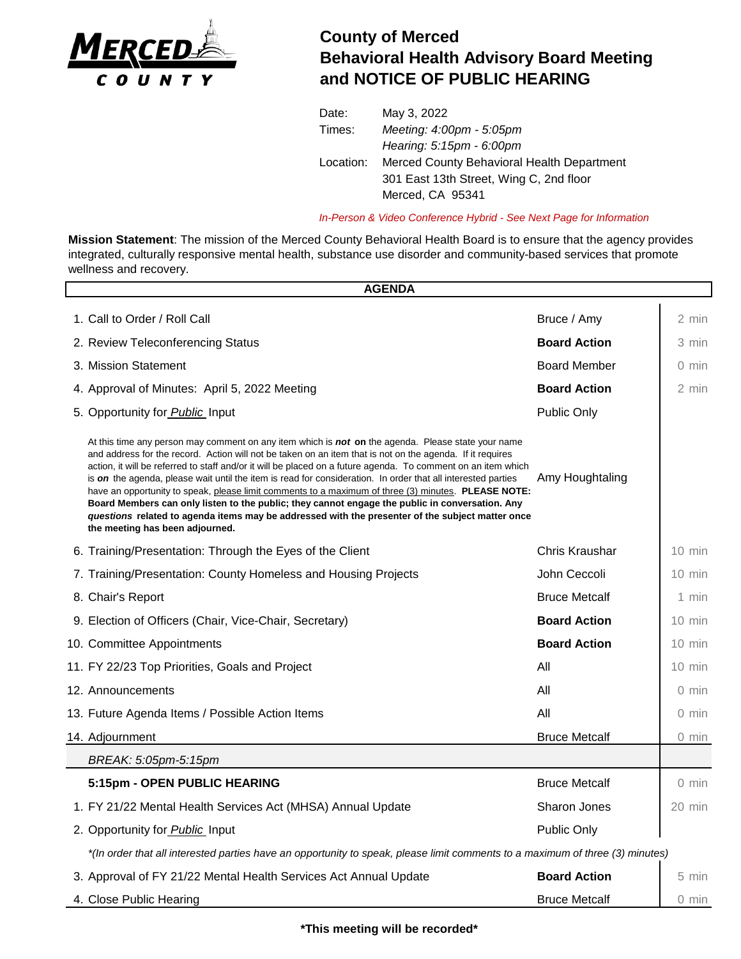

## **County of Merced Behavioral Health Advisory Board Meeting and NOTICE OF PUBLIC HEARING**

| Date:     | May 3, 2022                                |
|-----------|--------------------------------------------|
| Times:    | Meeting: 4:00pm - 5:05pm                   |
|           | Hearing: 5:15pm - 6:00pm                   |
| Location: | Merced County Behavioral Health Department |
|           | 301 East 13th Street, Wing C, 2nd floor    |
|           | Merced, CA 95341                           |
|           |                                            |

*In-Person & Video Conference Hybrid - See Next Page for Information*

**Mission Statement**: The mission of the Merced County Behavioral Health Board is to ensure that the agency provides integrated, culturally responsive mental health, substance use disorder and community-based services that promote wellness and recovery.

|                                   | <b>AGENDA</b>                                                                                                                                                                                                                                                                                                                                                                                                                                                                                                                                                                                                                                                                                                                                                                                            |                      |                  |  |  |
|-----------------------------------|----------------------------------------------------------------------------------------------------------------------------------------------------------------------------------------------------------------------------------------------------------------------------------------------------------------------------------------------------------------------------------------------------------------------------------------------------------------------------------------------------------------------------------------------------------------------------------------------------------------------------------------------------------------------------------------------------------------------------------------------------------------------------------------------------------|----------------------|------------------|--|--|
|                                   | 1. Call to Order / Roll Call                                                                                                                                                                                                                                                                                                                                                                                                                                                                                                                                                                                                                                                                                                                                                                             | Bruce / Amy          | 2 min            |  |  |
| 2. Review Teleconferencing Status |                                                                                                                                                                                                                                                                                                                                                                                                                                                                                                                                                                                                                                                                                                                                                                                                          | <b>Board Action</b>  | 3 min            |  |  |
|                                   | 3. Mission Statement                                                                                                                                                                                                                                                                                                                                                                                                                                                                                                                                                                                                                                                                                                                                                                                     | <b>Board Member</b>  | $0 \text{ min}$  |  |  |
|                                   | 4. Approval of Minutes: April 5, 2022 Meeting                                                                                                                                                                                                                                                                                                                                                                                                                                                                                                                                                                                                                                                                                                                                                            | <b>Board Action</b>  | 2 min            |  |  |
|                                   | 5. Opportunity for Public Input                                                                                                                                                                                                                                                                                                                                                                                                                                                                                                                                                                                                                                                                                                                                                                          | Public Only          |                  |  |  |
|                                   | At this time any person may comment on any item which is <b>not on</b> the agenda. Please state your name<br>and address for the record. Action will not be taken on an item that is not on the agenda. If it requires<br>action, it will be referred to staff and/or it will be placed on a future agenda. To comment on an item which<br>is on the agenda, please wait until the item is read for consideration. In order that all interested parties<br>have an opportunity to speak, please limit comments to a maximum of three (3) minutes. PLEASE NOTE:<br>Board Members can only listen to the public; they cannot engage the public in conversation. Any<br>questions related to agenda items may be addressed with the presenter of the subject matter once<br>the meeting has been adjourned. | Amy Houghtaling      |                  |  |  |
|                                   | 6. Training/Presentation: Through the Eyes of the Client                                                                                                                                                                                                                                                                                                                                                                                                                                                                                                                                                                                                                                                                                                                                                 | Chris Kraushar       | $10 \text{ min}$ |  |  |
|                                   | 7. Training/Presentation: County Homeless and Housing Projects                                                                                                                                                                                                                                                                                                                                                                                                                                                                                                                                                                                                                                                                                                                                           | John Ceccoli         | $10 \text{ min}$ |  |  |
|                                   | 8. Chair's Report                                                                                                                                                                                                                                                                                                                                                                                                                                                                                                                                                                                                                                                                                                                                                                                        | <b>Bruce Metcalf</b> | 1 min            |  |  |
|                                   | 9. Election of Officers (Chair, Vice-Chair, Secretary)                                                                                                                                                                                                                                                                                                                                                                                                                                                                                                                                                                                                                                                                                                                                                   | <b>Board Action</b>  | $10 \text{ min}$ |  |  |
|                                   | 10. Committee Appointments                                                                                                                                                                                                                                                                                                                                                                                                                                                                                                                                                                                                                                                                                                                                                                               | <b>Board Action</b>  | $10 \text{ min}$ |  |  |
|                                   | 11. FY 22/23 Top Priorities, Goals and Project                                                                                                                                                                                                                                                                                                                                                                                                                                                                                                                                                                                                                                                                                                                                                           | All                  | $10 \text{ min}$ |  |  |
|                                   | 12. Announcements                                                                                                                                                                                                                                                                                                                                                                                                                                                                                                                                                                                                                                                                                                                                                                                        | All                  | $0 \text{ min}$  |  |  |
|                                   | 13. Future Agenda Items / Possible Action Items                                                                                                                                                                                                                                                                                                                                                                                                                                                                                                                                                                                                                                                                                                                                                          | All                  | $0 \text{ min}$  |  |  |
|                                   | 14. Adjournment                                                                                                                                                                                                                                                                                                                                                                                                                                                                                                                                                                                                                                                                                                                                                                                          | <b>Bruce Metcalf</b> | 0 min            |  |  |
|                                   | BREAK: 5:05pm-5:15pm                                                                                                                                                                                                                                                                                                                                                                                                                                                                                                                                                                                                                                                                                                                                                                                     |                      |                  |  |  |
|                                   | 5:15pm - OPEN PUBLIC HEARING                                                                                                                                                                                                                                                                                                                                                                                                                                                                                                                                                                                                                                                                                                                                                                             | <b>Bruce Metcalf</b> | $0 \text{ min}$  |  |  |
|                                   | 1. FY 21/22 Mental Health Services Act (MHSA) Annual Update                                                                                                                                                                                                                                                                                                                                                                                                                                                                                                                                                                                                                                                                                                                                              | Sharon Jones         | 20 min           |  |  |
|                                   | 2. Opportunity for Public Input                                                                                                                                                                                                                                                                                                                                                                                                                                                                                                                                                                                                                                                                                                                                                                          | <b>Public Only</b>   |                  |  |  |
|                                   | *(In order that all interested parties have an opportunity to speak, please limit comments to a maximum of three (3) minutes)                                                                                                                                                                                                                                                                                                                                                                                                                                                                                                                                                                                                                                                                            |                      |                  |  |  |
|                                   | 3. Approval of FY 21/22 Mental Health Services Act Annual Update                                                                                                                                                                                                                                                                                                                                                                                                                                                                                                                                                                                                                                                                                                                                         | <b>Board Action</b>  | 5 min            |  |  |
|                                   | 4. Close Public Hearing                                                                                                                                                                                                                                                                                                                                                                                                                                                                                                                                                                                                                                                                                                                                                                                  | <b>Bruce Metcalf</b> | 0 min            |  |  |

**\*This meeting will be recorded\***